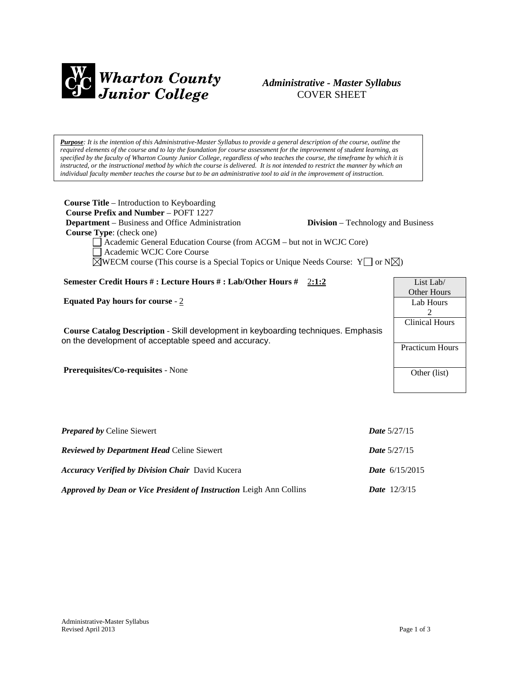

# *Administrative - Master Syllabus*  COVER SHEET

*Purpose: It is the intention of this Administrative-Master Syllabus to provide a general description of the course, outline the required elements of the course and to lay the foundation for course assessment for the improvement of student learning, as specified by the faculty of Wharton County Junior College, regardless of who teaches the course, the timeframe by which it is instructed, or the instructional method by which the course is delivered. It is not intended to restrict the manner by which an individual faculty member teaches the course but to be an administrative tool to aid in the improvement of instruction.*

| <b>Course Title</b> – Introduction to Keyboarding<br><b>Course Prefix and Number - POFT 1227</b><br><b>Department</b> – Business and Office Administration<br><b>Division</b> – Technology and Business<br><b>Course Type:</b> (check one)<br>Academic General Education Course (from ACGM – but not in WCJC Core)<br>Academic WCJC Core Course<br>$\boxtimes$ WECM course (This course is a Special Topics or Unique Needs Course: Y $\Box$ or N $\boxtimes$ ) |                                                                    |
|-----------------------------------------------------------------------------------------------------------------------------------------------------------------------------------------------------------------------------------------------------------------------------------------------------------------------------------------------------------------------------------------------------------------------------------------------------------------|--------------------------------------------------------------------|
| Semester Credit Hours #: Lecture Hours #: Lab/Other Hours # 2:1:2                                                                                                                                                                                                                                                                                                                                                                                               | List Lab/                                                          |
| Equated Pay hours for course - $2$                                                                                                                                                                                                                                                                                                                                                                                                                              | Other Hours<br>Lab Hours<br>$\mathcal{L}$<br><b>Clinical Hours</b> |
| Course Catalog Description - Skill development in keyboarding techniques. Emphasis<br>on the development of acceptable speed and accuracy.                                                                                                                                                                                                                                                                                                                      | <b>Practicum Hours</b>                                             |
| <b>Prerequisites/Co-requisites - None</b>                                                                                                                                                                                                                                                                                                                                                                                                                       | Other (list)                                                       |
| <b>Prenared by Celine Siewert</b>                                                                                                                                                                                                                                                                                                                                                                                                                               | Date $5/27/15$                                                     |

| <i>Lieparea by Cenne Stewen</i>                                            | $17000 \cdot 772111$    |
|----------------------------------------------------------------------------|-------------------------|
| <b>Reviewed by Department Head Celine Siewert</b>                          | <b>Date</b> $5/27/15$   |
| <b>Accuracy Verified by Division Chair</b> David Kucera                    | <b>Date</b> $6/15/2015$ |
| <b>Approved by Dean or Vice President of Instruction Leigh Ann Collins</b> | <b>Date</b> $12/3/15$   |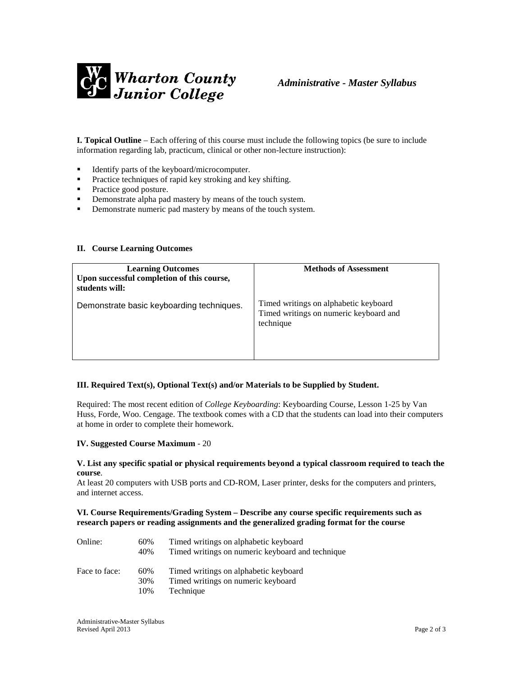

**I. Topical Outline** – Each offering of this course must include the following topics (be sure to include information regarding lab, practicum, clinical or other non-lecture instruction):

- Identify parts of the keyboard/microcomputer.
- Practice techniques of rapid key stroking and key shifting.
- Practice good posture.
- **•** Demonstrate alpha pad mastery by means of the touch system.
- **•** Demonstrate numeric pad mastery by means of the touch system.

## **II. Course Learning Outcomes**

| <b>Learning Outcomes</b><br>Upon successful completion of this course,<br>students will: | <b>Methods of Assessment</b>                                                                 |
|------------------------------------------------------------------------------------------|----------------------------------------------------------------------------------------------|
| Demonstrate basic keyboarding techniques.                                                | Timed writings on alphabetic keyboard<br>Timed writings on numeric keyboard and<br>technique |

## **III. Required Text(s), Optional Text(s) and/or Materials to be Supplied by Student.**

Required: The most recent edition of *College Keyboarding*: Keyboarding Course, Lesson 1-25 by Van Huss, Forde, Woo. Cengage. The textbook comes with a CD that the students can load into their computers at home in order to complete their homework.

## **IV. Suggested Course Maximum** - 20

#### **V. List any specific spatial or physical requirements beyond a typical classroom required to teach the course**.

At least 20 computers with USB ports and CD-ROM, Laser printer, desks for the computers and printers, and internet access.

# **VI. Course Requirements/Grading System – Describe any course specific requirements such as research papers or reading assignments and the generalized grading format for the course**

| Online:       | 60%<br>40% | Timed writings on alphabetic keyboard<br>Timed writings on numeric keyboard and technique |
|---------------|------------|-------------------------------------------------------------------------------------------|
| Face to face: | 60%        | Timed writings on alphabetic keyboard                                                     |
|               | 30%        | Timed writings on numeric keyboard                                                        |
|               | 10%        | Technique                                                                                 |